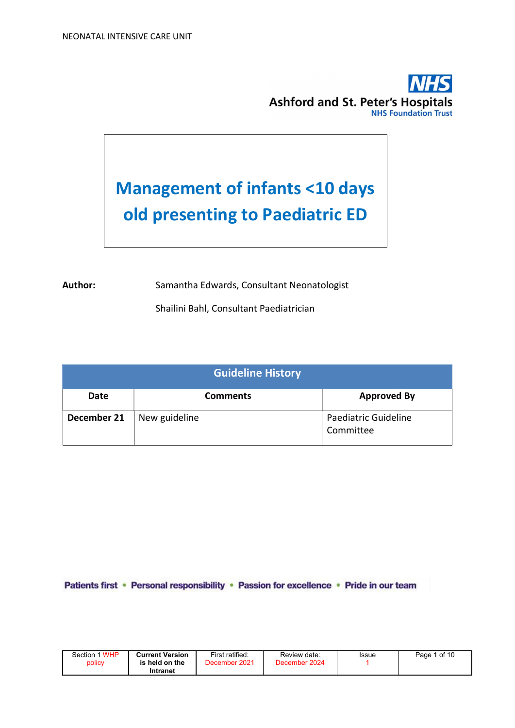

# Management of infants <10 days old presenting to Paediatric ED

Author: Samantha Edwards, Consultant Neonatologist

Shailini Bahl, Consultant Paediatrician

| <b>Guideline History</b> |                 |                                   |  |  |  |
|--------------------------|-----------------|-----------------------------------|--|--|--|
| <b>Date</b>              | <b>Comments</b> | <b>Approved By</b>                |  |  |  |
| December 21              | New guideline   | Paediatric Guideline<br>Committee |  |  |  |

Patients first · Personal responsibility · Passion for excellence · Pride in our team

| Section 1 WHP | <b>Current Version</b> | First ratified: | Review date:  | Issue | Page 1 of 10 |
|---------------|------------------------|-----------------|---------------|-------|--------------|
| policy        | is held on the         | December 2021   | December 2024 |       |              |
|               | Intranet               |                 |               |       |              |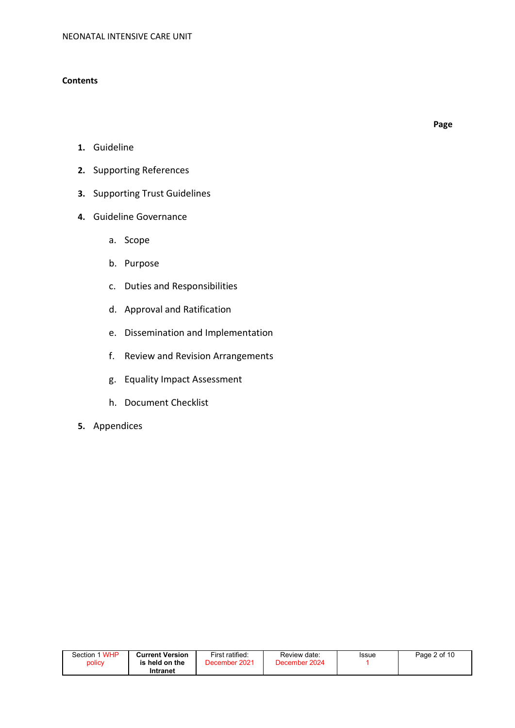### **Contents**

Page

- 1. Guideline
- 2. Supporting References
- 3. Supporting Trust Guidelines
- 4. Guideline Governance
	- a. Scope
	- b. Purpose
	- c. Duties and Responsibilities
	- d. Approval and Ratification
	- e. Dissemination and Implementation
	- f. Review and Revision Arrangements
	- g. Equality Impact Assessment
	- h. Document Checklist
- 5. Appendices

| Section 1 WHP | <b>Current Version</b> | First ratified: | Review date:  | Issue | Page 2 of 10 |
|---------------|------------------------|-----------------|---------------|-------|--------------|
| policy        | is held on the         | December 2021   | December 2024 |       |              |
|               | Intranet               |                 |               |       |              |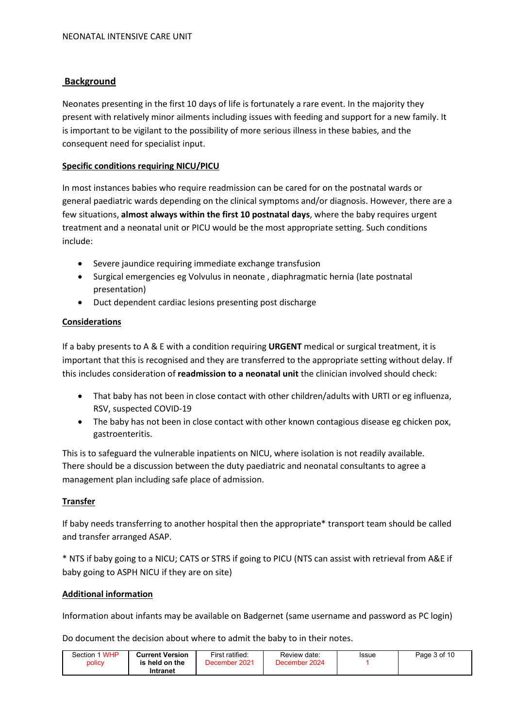## Background

Neonates presenting in the first 10 days of life is fortunately a rare event. In the majority they present with relatively minor ailments including issues with feeding and support for a new family. It is important to be vigilant to the possibility of more serious illness in these babies, and the consequent need for specialist input.

### Specific conditions requiring NICU/PICU

In most instances babies who require readmission can be cared for on the postnatal wards or general paediatric wards depending on the clinical symptoms and/or diagnosis. However, there are a few situations, almost always within the first 10 postnatal days, where the baby requires urgent treatment and a neonatal unit or PICU would be the most appropriate setting. Such conditions include:

- Severe jaundice requiring immediate exchange transfusion
- Surgical emergencies eg Volvulus in neonate , diaphragmatic hernia (late postnatal presentation)
- Duct dependent cardiac lesions presenting post discharge

#### Considerations

If a baby presents to A & E with a condition requiring URGENT medical or surgical treatment, it is important that this is recognised and they are transferred to the appropriate setting without delay. If this includes consideration of readmission to a neonatal unit the clinician involved should check:

- That baby has not been in close contact with other children/adults with URTI or eg influenza, RSV, suspected COVID-19
- The baby has not been in close contact with other known contagious disease eg chicken pox, gastroenteritis.

This is to safeguard the vulnerable inpatients on NICU, where isolation is not readily available. There should be a discussion between the duty paediatric and neonatal consultants to agree a management plan including safe place of admission.

#### Transfer

If baby needs transferring to another hospital then the appropriate\* transport team should be called and transfer arranged ASAP.

\* NTS if baby going to a NICU; CATS or STRS if going to PICU (NTS can assist with retrieval from A&E if baby going to ASPH NICU if they are on site)

### Additional information

Information about infants may be available on Badgernet (same username and password as PC login)

Do document the decision about where to admit the baby to in their notes.

| Section 1 WHP<br>policy | <b>Current Version</b><br>is held on the | First ratified:<br>December 2021 | Review date:<br>December 2024 | Issue | Page 3 of 10 |
|-------------------------|------------------------------------------|----------------------------------|-------------------------------|-------|--------------|
|                         | Intranet                                 |                                  |                               |       |              |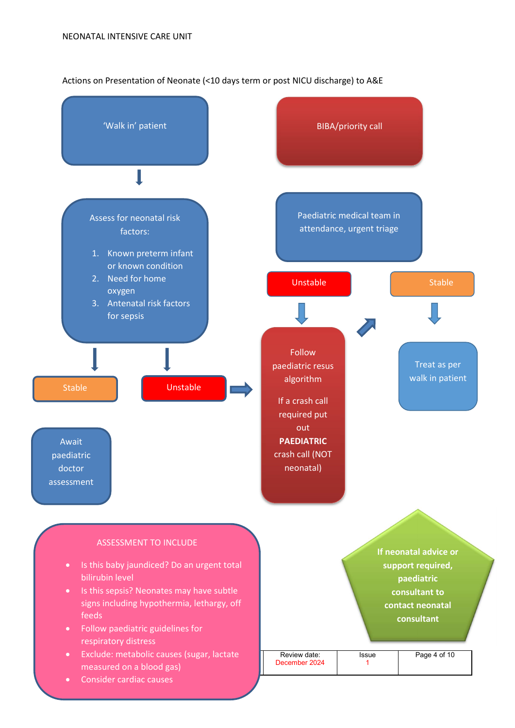#### Actions on Presentation of Neonate (<10 days term or post NICU discharge) to A&E

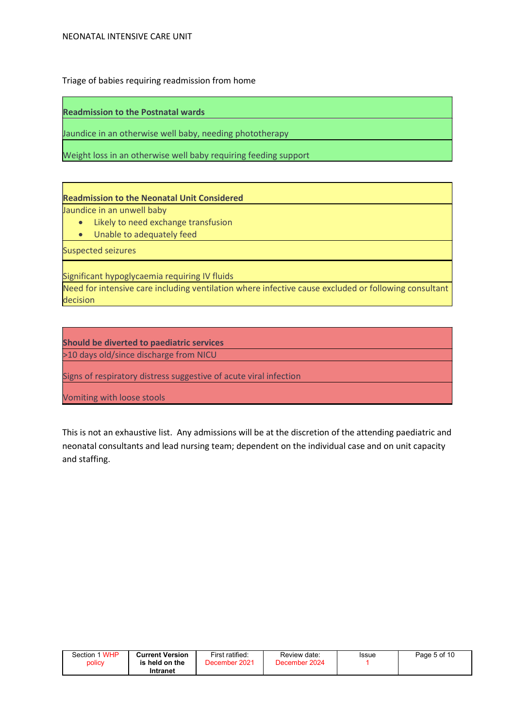Triage of babies requiring readmission from home

Readmission to the Postnatal wards

Jaundice in an otherwise well baby, needing phototherapy

Weight loss in an otherwise well baby requiring feeding support

## Readmission to the Neonatal Unit Considered

Jaundice in an unwell baby

- Likely to need exchange transfusion
- Unable to adequately feed

Suspected seizures

Significant hypoglycaemia requiring IV fluids

Need for intensive care including ventilation where infective cause excluded or following consultant decision

Should be diverted to paediatric services >10 days old/since discharge from NICU

Signs of respiratory distress suggestive of acute viral infection

Vomiting with loose stools

This is not an exhaustive list. Any admissions will be at the discretion of the attending paediatric and neonatal consultants and lead nursing team; dependent on the individual case and on unit capacity and staffing.

| 1 WHP<br>Section | <b>Current Version</b>  | First ratified:  | Review date:     | Issue | Page 5 of 10 |
|------------------|-------------------------|------------------|------------------|-------|--------------|
| policy           | held on the<br>Intranet | 2021<br>December | 2024<br>December |       |              |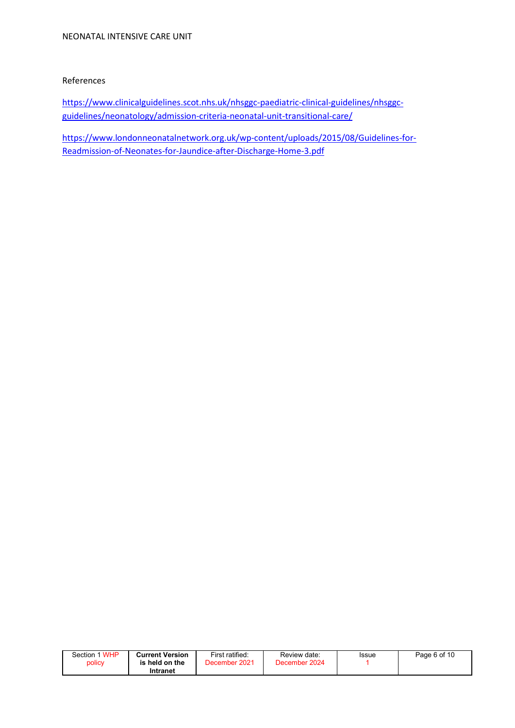#### References

https://www.clinicalguidelines.scot.nhs.uk/nhsggc-paediatric-clinical-guidelines/nhsggcguidelines/neonatology/admission-criteria-neonatal-unit-transitional-care/

https://www.londonneonatalnetwork.org.uk/wp-content/uploads/2015/08/Guidelines-for-Readmission-of-Neonates-for-Jaundice-after-Discharge-Home-3.pdf

| Section 1 WHP | <b>Current Version</b> | First ratified: | Review date:  | <b>Issue</b> | Page 6 of 10 |
|---------------|------------------------|-----------------|---------------|--------------|--------------|
| policy        | is held on the         | December 2021   | December 2024 |              |              |
|               | Intranet               |                 |               |              |              |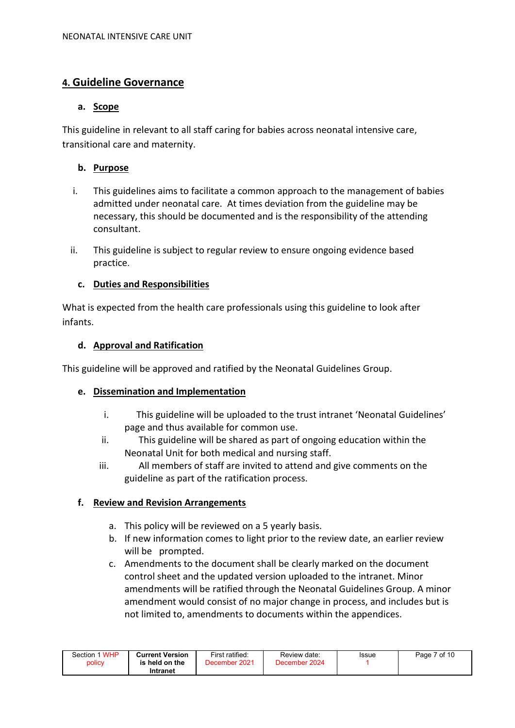# 4. Guideline Governance

## a. Scope

This guideline in relevant to all staff caring for babies across neonatal intensive care, transitional care and maternity.

## b. Purpose

- i. This guidelines aims to facilitate a common approach to the management of babies admitted under neonatal care. At times deviation from the guideline may be necessary, this should be documented and is the responsibility of the attending consultant.
- ii. This guideline is subject to regular review to ensure ongoing evidence based practice.

## c. Duties and Responsibilities

What is expected from the health care professionals using this guideline to look after infants.

## d. Approval and Ratification

This guideline will be approved and ratified by the Neonatal Guidelines Group.

## e. Dissemination and Implementation

- i. This guideline will be uploaded to the trust intranet 'Neonatal Guidelines' page and thus available for common use.
- ii. This guideline will be shared as part of ongoing education within the Neonatal Unit for both medical and nursing staff.
- iii. All members of staff are invited to attend and give comments on the guideline as part of the ratification process.

### f. Review and Revision Arrangements

- a. This policy will be reviewed on a 5 yearly basis.
- b. If new information comes to light prior to the review date, an earlier review will be prompted.
- c. Amendments to the document shall be clearly marked on the document control sheet and the updated version uploaded to the intranet. Minor amendments will be ratified through the Neonatal Guidelines Group. A minor amendment would consist of no major change in process, and includes but is not limited to, amendments to documents within the appendices.

| Section 1 WHP | <b>Current Version</b> | First ratified: | Review date:  | Issue | Page 7 of 10 |
|---------------|------------------------|-----------------|---------------|-------|--------------|
| policy        | is held on the         | December 2021   | December 2024 |       |              |
|               | Intranet               |                 |               |       |              |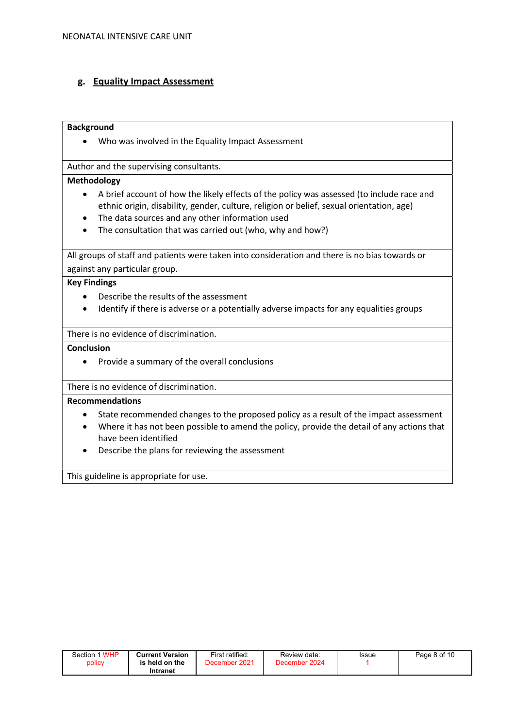## g. Equality Impact Assessment

#### **Background**

Who was involved in the Equality Impact Assessment

Author and the supervising consultants.

#### Methodology

- A brief account of how the likely effects of the policy was assessed (to include race and ethnic origin, disability, gender, culture, religion or belief, sexual orientation, age)
- The data sources and any other information used
- The consultation that was carried out (who, why and how?)

All groups of staff and patients were taken into consideration and there is no bias towards or against any particular group.

#### Key Findings

- Describe the results of the assessment
- Identify if there is adverse or a potentially adverse impacts for any equalities groups

There is no evidence of discrimination.

Conclusion

• Provide a summary of the overall conclusions

#### There is no evidence of discrimination.

#### Recommendations

- State recommended changes to the proposed policy as a result of the impact assessment
- Where it has not been possible to amend the policy, provide the detail of any actions that have been identified
- Describe the plans for reviewing the assessment

This guideline is appropriate for use.

| Section 1 WHP | <b>Current Version</b> | First ratified: | Review date:  | Issue | Page 8 of 10 |
|---------------|------------------------|-----------------|---------------|-------|--------------|
| policy        | is held on the         | December 2021   | December 2024 |       |              |
|               | Intranet               |                 |               |       |              |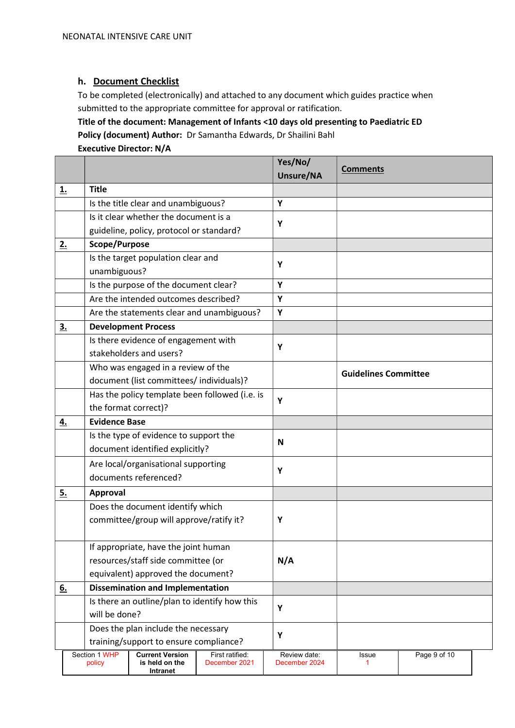## h. Document Checklist

To be completed (electronically) and attached to any document which guides practice when submitted to the appropriate committee for approval or ratification.

Title of the document: Management of Infants <10 days old presenting to Paediatric ED Policy (document) Author: Dr Samantha Edwards, Dr Shailini Bahl

# Executive Director: N/A

|           |                                         |                                                      |                                                      |                                  | Yes/No/<br>Unsure/NA          | <b>Comments</b>             |              |  |
|-----------|-----------------------------------------|------------------------------------------------------|------------------------------------------------------|----------------------------------|-------------------------------|-----------------------------|--------------|--|
| <u>1.</u> |                                         | <b>Title</b>                                         |                                                      |                                  |                               |                             |              |  |
|           |                                         |                                                      | Is the title clear and unambiguous?                  |                                  | Y                             |                             |              |  |
|           |                                         |                                                      | Is it clear whether the document is a                |                                  | Y                             |                             |              |  |
|           |                                         | guideline, policy, protocol or standard?             |                                                      |                                  |                               |                             |              |  |
| 2.        |                                         | Scope/Purpose                                        |                                                      |                                  |                               |                             |              |  |
|           |                                         |                                                      | Is the target population clear and                   |                                  | Y                             |                             |              |  |
|           |                                         | unambiguous?                                         |                                                      |                                  |                               |                             |              |  |
|           |                                         |                                                      | Is the purpose of the document clear?                |                                  | Y                             |                             |              |  |
|           |                                         |                                                      | Are the intended outcomes described?                 |                                  | Y                             |                             |              |  |
|           |                                         |                                                      | Are the statements clear and unambiguous?            |                                  | Y                             |                             |              |  |
| <u>3.</u> |                                         |                                                      | <b>Development Process</b>                           |                                  |                               |                             |              |  |
|           |                                         |                                                      | Is there evidence of engagement with                 |                                  | Y                             |                             |              |  |
|           |                                         |                                                      | stakeholders and users?                              |                                  |                               |                             |              |  |
|           |                                         |                                                      | Who was engaged in a review of the                   |                                  |                               | <b>Guidelines Committee</b> |              |  |
|           |                                         |                                                      | document (list committees/ individuals)?             |                                  |                               |                             |              |  |
|           |                                         |                                                      | Has the policy template been followed (i.e. is       |                                  | Y                             |                             |              |  |
|           |                                         |                                                      | the format correct)?                                 |                                  |                               |                             |              |  |
| <u>4.</u> |                                         | <b>Evidence Base</b>                                 |                                                      |                                  |                               |                             |              |  |
|           |                                         |                                                      | Is the type of evidence to support the               |                                  | N                             |                             |              |  |
|           |                                         |                                                      | document identified explicitly?                      |                                  |                               |                             |              |  |
|           |                                         |                                                      | Are local/organisational supporting                  |                                  | Y                             |                             |              |  |
|           |                                         |                                                      | documents referenced?                                |                                  |                               |                             |              |  |
| <u>5.</u> |                                         | <b>Approval</b>                                      |                                                      |                                  |                               |                             |              |  |
|           |                                         |                                                      | Does the document identify which                     |                                  |                               |                             |              |  |
|           |                                         |                                                      | committee/group will approve/ratify it?              |                                  | Y                             |                             |              |  |
|           |                                         |                                                      |                                                      |                                  |                               |                             |              |  |
|           |                                         |                                                      | If appropriate, have the joint human                 |                                  |                               |                             |              |  |
|           |                                         |                                                      | resources/staff side committee (or                   |                                  | N/A                           |                             |              |  |
|           |                                         | equivalent) approved the document?                   |                                                      |                                  |                               |                             |              |  |
| 6.        | <b>Dissemination and Implementation</b> |                                                      |                                                      |                                  |                               |                             |              |  |
|           |                                         |                                                      | Is there an outline/plan to identify how this        |                                  |                               |                             |              |  |
|           |                                         | will be done?<br>Does the plan include the necessary |                                                      | Y                                |                               |                             |              |  |
|           |                                         |                                                      |                                                      | Y                                |                               |                             |              |  |
|           |                                         |                                                      | training/support to ensure compliance?               |                                  |                               |                             |              |  |
|           |                                         | Section 1 WHP<br>policy                              | <b>Current Version</b><br>is held on the<br>Intranet | First ratified:<br>December 2021 | Review date:<br>December 2024 | Issue<br>1                  | Page 9 of 10 |  |